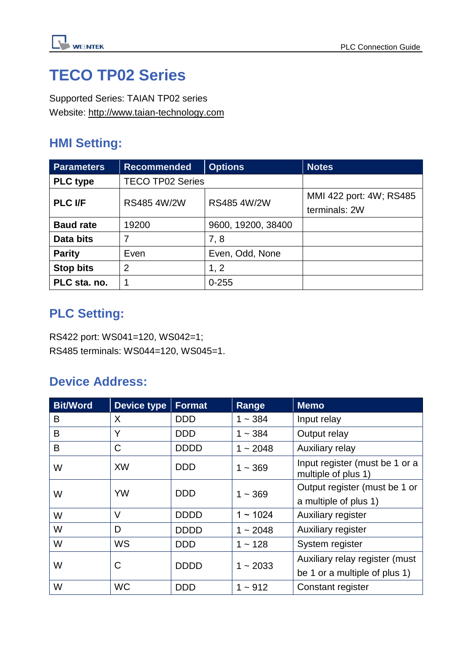

# **TECO TP02 Series**

Supported Series: TAIAN TP02 series Website: [http://www.taian-technology.com](http://www.taian-technology.com/)

### **HMI Setting:**

| <b>Parameters</b> | <b>Recommended</b>      | <b>Options</b>     | <b>Notes</b>                             |
|-------------------|-------------------------|--------------------|------------------------------------------|
| <b>PLC</b> type   | <b>TECO TP02 Series</b> |                    |                                          |
| <b>PLC I/F</b>    | RS485 4W/2W             | RS485 4W/2W        | MMI 422 port: 4W; RS485<br>terminals: 2W |
| <b>Baud rate</b>  | 19200                   | 9600, 19200, 38400 |                                          |
| Data bits         | 7                       | 7,8                |                                          |
| <b>Parity</b>     | Even                    | Even, Odd, None    |                                          |
| <b>Stop bits</b>  | $\overline{2}$          | 1, 2               |                                          |
| PLC sta. no.      |                         | $0 - 255$          |                                          |

## **PLC Setting:**

RS422 port: WS041=120, WS042=1; RS485 terminals: WS044=120, WS045=1.

### **Device Address:**

| <b>Bit/Word</b> | <b>Device type</b> | <b>Format</b> | Range         | <b>Memo</b>                                           |  |
|-----------------|--------------------|---------------|---------------|-------------------------------------------------------|--|
| B               | X                  | <b>DDD</b>    | $1 - 384$     | Input relay                                           |  |
| B               | Y                  | <b>DDD</b>    | $1 - 384$     | Output relay                                          |  |
| B               | C                  | <b>DDDD</b>   | $1 - 2048$    | Auxiliary relay                                       |  |
| W               | <b>XW</b>          | <b>DDD</b>    | $1 - 369$     | Input register (must be 1 or a<br>multiple of plus 1) |  |
| W               | <b>YW</b>          | <b>DDD</b>    | $1 - 369$     | Output register (must be 1 or                         |  |
|                 |                    |               |               | a multiple of plus 1)                                 |  |
| W               | $\vee$             | <b>DDDD</b>   | $1 \sim 1024$ | Auxiliary register                                    |  |
| W               | D                  | <b>DDDD</b>   | $1 - 2048$    | Auxiliary register                                    |  |
| W               | <b>WS</b>          | <b>DDD</b>    | $1 - 128$     | System register                                       |  |
| W               | С                  | <b>DDDD</b>   | $1 - 2033$    | Auxiliary relay register (must                        |  |
|                 |                    |               |               | be 1 or a multiple of plus 1)                         |  |
| W               | <b>WC</b>          | <b>DDD</b>    | $1 - 912$     | Constant register                                     |  |